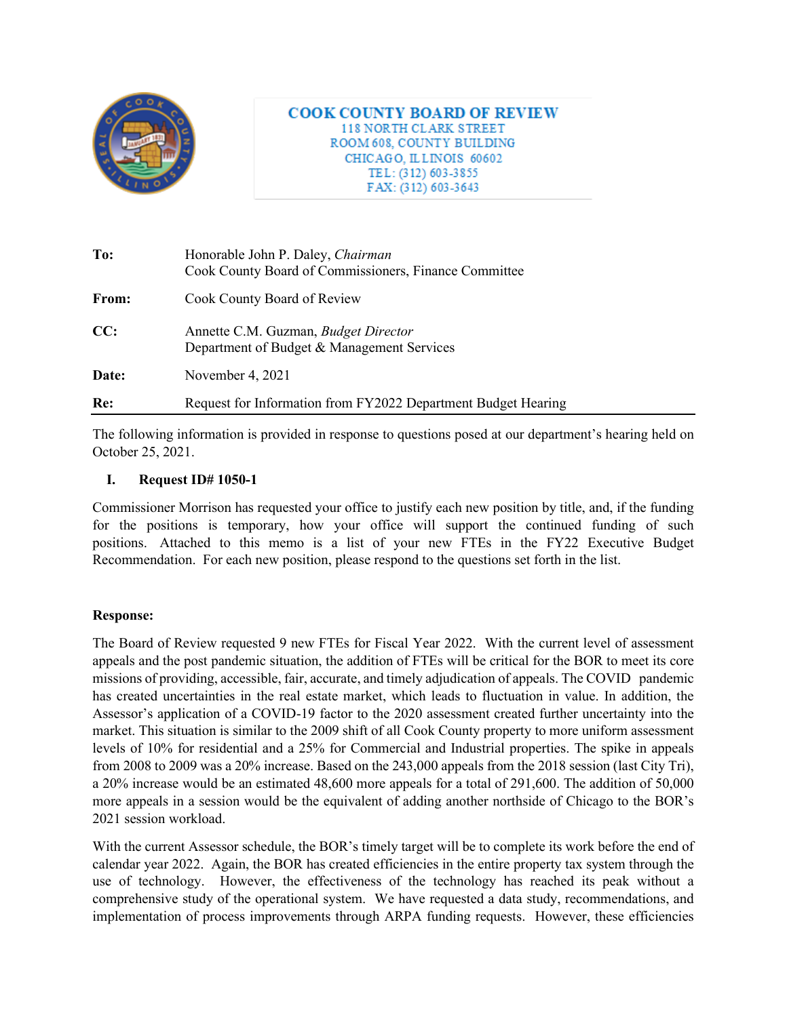

**COOK COUNTY BOARD OF REVIEW** 118 NORTH CLARK STREET ROOM 608, COUNTY BUILDING CHICAGO, ILLINOIS 60602 TEL: (312) 603-3855 FAX: (312) 603-3643

| To:   | Honorable John P. Daley, Chairman<br>Cook County Board of Commissioners, Finance Committee |
|-------|--------------------------------------------------------------------------------------------|
| From: | Cook County Board of Review                                                                |
| CC:   | Annette C.M. Guzman, <i>Budget Director</i><br>Department of Budget & Management Services  |
| Date: | November 4, 2021                                                                           |
| Re:   | Request for Information from FY2022 Department Budget Hearing                              |

The following information is provided in response to questions posed at our department's hearing held on October 25, 2021.

## **I. Request ID# 1050-1**

Commissioner Morrison has requested your office to justify each new position by title, and, if the funding for the positions is temporary, how your office will support the continued funding of such positions. Attached to this memo is a list of your new FTEs in the FY22 Executive Budget Recommendation. For each new position, please respond to the questions set forth in the list.

## **Response:**

The Board of Review requested 9 new FTEs for Fiscal Year 2022. With the current level of assessment appeals and the post pandemic situation, the addition of FTEs will be critical for the BOR to meet its core missions of providing, accessible, fair, accurate, and timely adjudication of appeals. The COVID pandemic has created uncertainties in the real estate market, which leads to fluctuation in value. In addition, the Assessor's application of a COVID-19 factor to the 2020 assessment created further uncertainty into the market. This situation is similar to the 2009 shift of all Cook County property to more uniform assessment levels of 10% for residential and a 25% for Commercial and Industrial properties. The spike in appeals from 2008 to 2009 was a 20% increase. Based on the 243,000 appeals from the 2018 session (last City Tri), a 20% increase would be an estimated 48,600 more appeals for a total of 291,600. The addition of 50,000 more appeals in a session would be the equivalent of adding another northside of Chicago to the BOR's 2021 session workload.

With the current Assessor schedule, the BOR's timely target will be to complete its work before the end of calendar year 2022. Again, the BOR has created efficiencies in the entire property tax system through the use of technology. However, the effectiveness of the technology has reached its peak without a comprehensive study of the operational system. We have requested a data study, recommendations, and implementation of process improvements through ARPA funding requests. However, these efficiencies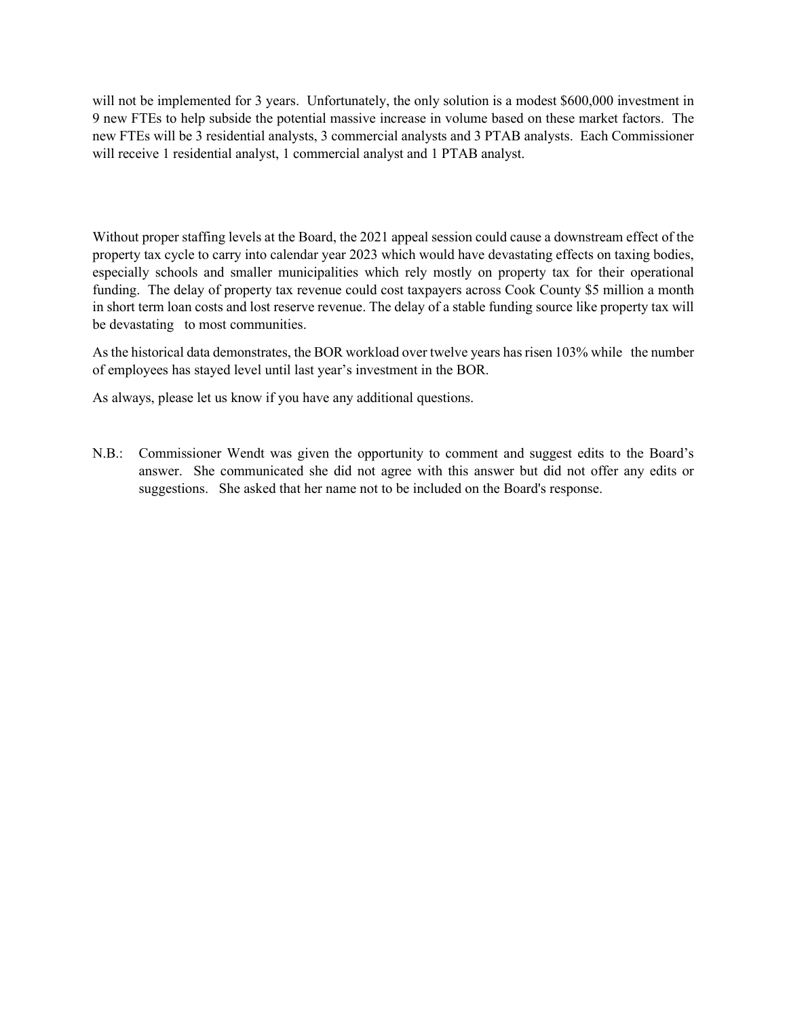will not be implemented for 3 years. Unfortunately, the only solution is a modest \$600,000 investment in 9 new FTEs to help subside the potential massive increase in volume based on these market factors. The new FTEs will be 3 residential analysts, 3 commercial analysts and 3 PTAB analysts. Each Commissioner will receive 1 residential analyst, 1 commercial analyst and 1 PTAB analyst.

Without proper staffing levels at the Board, the 2021 appeal session could cause a downstream effect of the property tax cycle to carry into calendar year 2023 which would have devastating effects on taxing bodies, especially schools and smaller municipalities which rely mostly on property tax for their operational funding. The delay of property tax revenue could cost taxpayers across Cook County \$5 million a month in short term loan costs and lost reserve revenue. The delay of a stable funding source like property tax will be devastating to most communities.

As the historical data demonstrates, the BOR workload over twelve years has risen 103% while the number of employees has stayed level until last year's investment in the BOR.

As always, please let us know if you have any additional questions.

N.B.: Commissioner Wendt was given the opportunity to comment and suggest edits to the Board's answer. She communicated she did not agree with this answer but did not offer any edits or suggestions. She asked that her name not to be included on the Board's response.